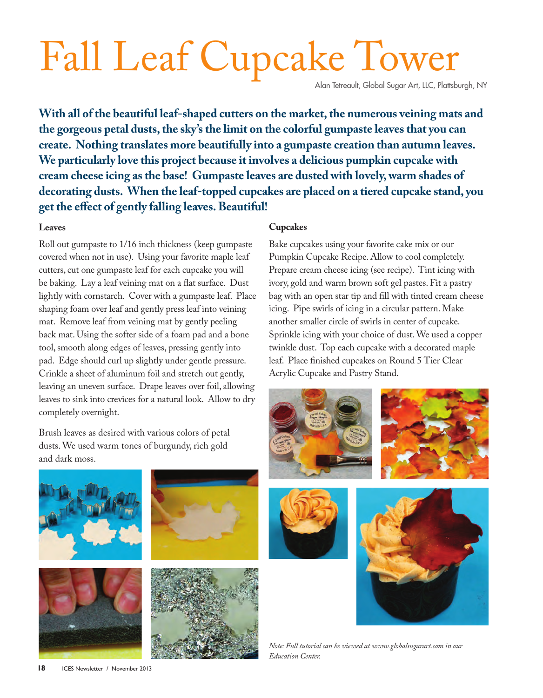# Fall Leaf Cupcake Tower

Alan Tetreault, Global Sugar Art, LLC, Plattsburgh, NY

**With all of the beautiful leaf-shaped cutters on the market, the numerous veining mats and the gorgeous petal dusts, the sky's the limit on the colorful gumpaste leaves that you can create. Nothing translates more beautifully into a gumpaste creation than autumn leaves. We particularly love this project because it involves a delicious pumpkin cupcake with cream cheese icing as the base! Gumpaste leaves are dusted with lovely, warm shades of decorating dusts. When the leaf-topped cupcakes are placed on a tiered cupcake stand, you get the effect of gently falling leaves. Beautiful!**

### **Leaves**

Roll out gumpaste to 1/16 inch thickness (keep gumpaste covered when not in use). Using your favorite maple leaf cutters, cut one gumpaste leaf for each cupcake you will be baking. Lay a leaf veining mat on a flat surface. Dust lightly with cornstarch. Cover with a gumpaste leaf. Place shaping foam over leaf and gently press leaf into veining mat. Remove leaf from veining mat by gently peeling back mat. Using the softer side of a foam pad and a bone tool, smooth along edges of leaves, pressing gently into pad. Edge should curl up slightly under gentle pressure. Crinkle a sheet of aluminum foil and stretch out gently, leaving an uneven surface. Drape leaves over foil, allowing leaves to sink into crevices for a natural look. Allow to dry completely overnight.

Brush leaves as desired with various colors of petal dusts. We used warm tones of burgundy, rich gold and dark moss.

#### **Cupcakes**

Bake cupcakes using your favorite cake mix or our Pumpkin Cupcake Recipe. Allow to cool completely. Prepare cream cheese icing (see recipe). Tint icing with ivory, gold and warm brown soft gel pastes. Fit a pastry bag with an open star tip and fill with tinted cream cheese icing. Pipe swirls of icing in a circular pattern. Make another smaller circle of swirls in center of cupcake. Sprinkle icing with your choice of dust. We used a copper twinkle dust. Top each cupcake with a decorated maple leaf. Place finished cupcakes on Round 5 Tier Clear Acrylic Cupcake and Pastry Stand.







*Note: Full tutorial can be viewed at www.globalsugarart.com in our Education Center.*